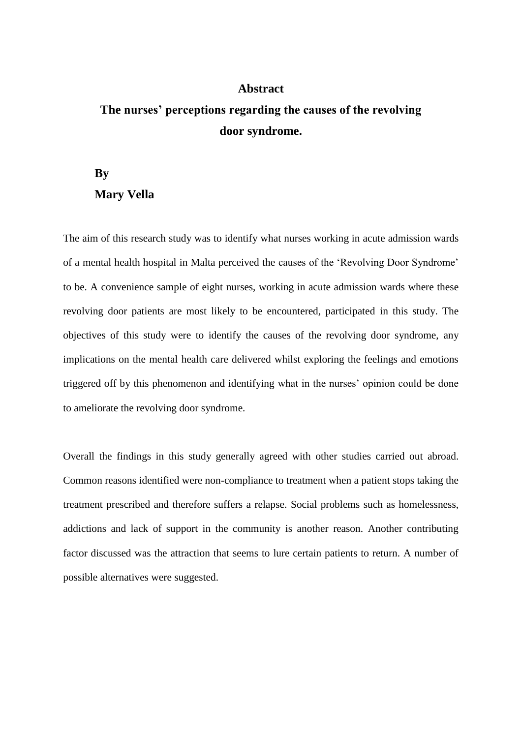## **Abstract**

## **The nurses' perceptions regarding the causes of the revolving door syndrome.**

## **By Mary Vella**

The aim of this research study was to identify what nurses working in acute admission wards of a mental health hospital in Malta perceived the causes of the 'Revolving Door Syndrome' to be. A convenience sample of eight nurses, working in acute admission wards where these revolving door patients are most likely to be encountered, participated in this study. The objectives of this study were to identify the causes of the revolving door syndrome, any implications on the mental health care delivered whilst exploring the feelings and emotions triggered off by this phenomenon and identifying what in the nurses' opinion could be done to ameliorate the revolving door syndrome.

Overall the findings in this study generally agreed with other studies carried out abroad. Common reasons identified were non-compliance to treatment when a patient stops taking the treatment prescribed and therefore suffers a relapse. Social problems such as homelessness, addictions and lack of support in the community is another reason. Another contributing factor discussed was the attraction that seems to lure certain patients to return. A number of possible alternatives were suggested.